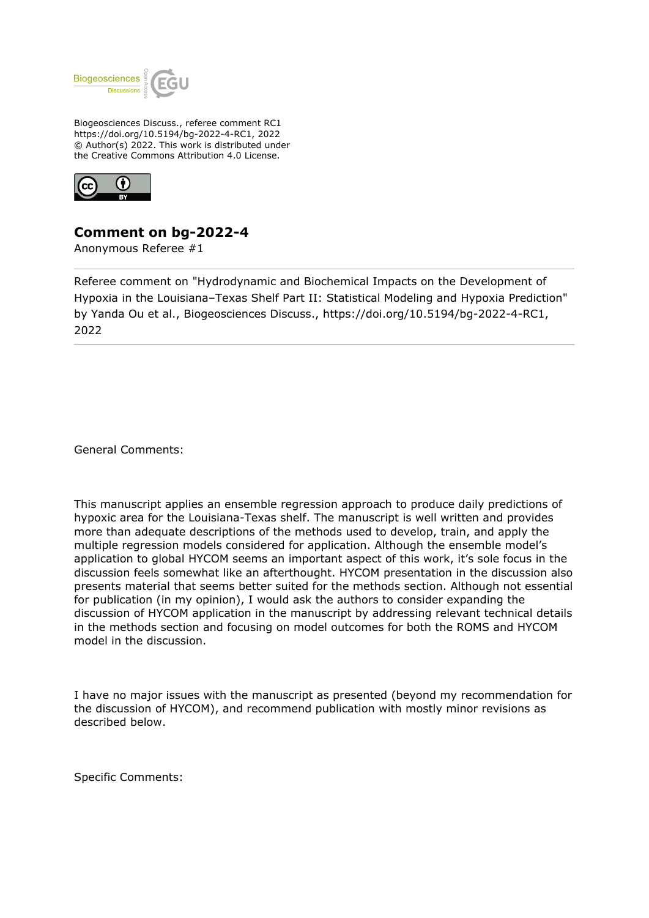

Biogeosciences Discuss., referee comment RC1 https://doi.org/10.5194/bg-2022-4-RC1, 2022 © Author(s) 2022. This work is distributed under the Creative Commons Attribution 4.0 License.



## **Comment on bg-2022-4**

Anonymous Referee #1

Referee comment on "Hydrodynamic and Biochemical Impacts on the Development of Hypoxia in the Louisiana–Texas Shelf Part II: Statistical Modeling and Hypoxia Prediction" by Yanda Ou et al., Biogeosciences Discuss., https://doi.org/10.5194/bg-2022-4-RC1, 2022

General Comments:

This manuscript applies an ensemble regression approach to produce daily predictions of hypoxic area for the Louisiana-Texas shelf. The manuscript is well written and provides more than adequate descriptions of the methods used to develop, train, and apply the multiple regression models considered for application. Although the ensemble model's application to global HYCOM seems an important aspect of this work, it's sole focus in the discussion feels somewhat like an afterthought. HYCOM presentation in the discussion also presents material that seems better suited for the methods section. Although not essential for publication (in my opinion), I would ask the authors to consider expanding the discussion of HYCOM application in the manuscript by addressing relevant technical details in the methods section and focusing on model outcomes for both the ROMS and HYCOM model in the discussion.

I have no major issues with the manuscript as presented (beyond my recommendation for the discussion of HYCOM), and recommend publication with mostly minor revisions as described below.

Specific Comments: